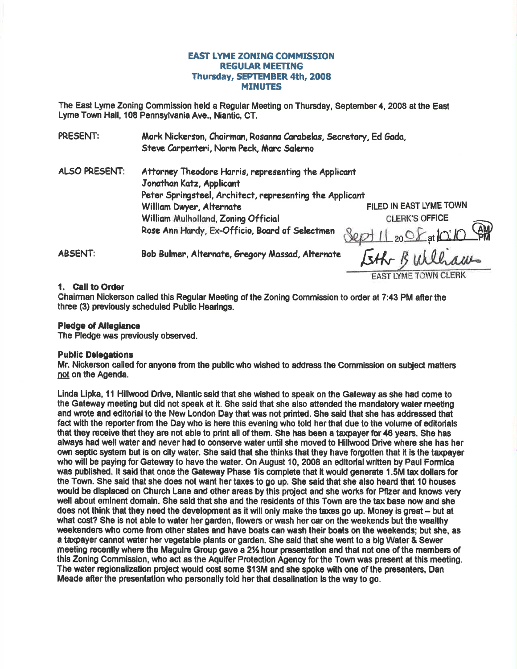# EAST LYME ZONTNG COMMISSION **REGULAR MEETING** Thursday, SEPTEMBER 4th, 2008 **MINUTES**

The East Lyme Zonlng Gommlssion held a Regular Meeting on Thursday, September 4, 2008 at the East Lyme Town Hall, 108 Pennsylvania Ave., Niantlc, CT.

| PRESENT:             | Mark Nickerson, Chairman, Rosanna Carabelas, Secretary, Ed Gada,<br>Steve Carpenteri, Norm Peck, Marc Salerno                                |                          |
|----------------------|----------------------------------------------------------------------------------------------------------------------------------------------|--------------------------|
| <b>ALSO PRESENT:</b> | Attorney Theodore Harris, representing the Applicant<br>Jonathan Katz, Applicant<br>Peter Springsteel, Architect, representing the Applicant |                          |
|                      |                                                                                                                                              | FILED IN EAST LYME TOWN  |
|                      | William Dwyer, Alternate                                                                                                                     |                          |
|                      | William Mulholland, Zoning Official                                                                                                          | <b>CLERK'S OFFICE</b>    |
|                      | Rose Ann Hardy, Ex-Officio, Board of Selectmen                                                                                               | Sept 11 20 S at 10:10 PM |
| <b>ABSENT:</b>       | Bob Bulmer, Alternate, Gregory Massad, Alternate                                                                                             | Eth Builliam             |
|                      |                                                                                                                                              |                          |

#### 1. Call to Order

Ghairman Nickenson called thls Regular Meeting of the Zoning Commission to order at 7:43 PM afterthe three (3) previously scheduled Public Hearings.

#### Pledge of Allegiance

The Pledge was previously observed.

#### Public Delegations

Mr. Nickerson called for anyone from the public who wished to address the Commission on subject matters not on the Agenda.

Linda Lipka, 11 Hillwood Drive, Niantic said that she wished to speak on the Gateway as she had come to the Gateway meeting but did not speak at it. She said that she also attended the mandatory water meetlng and wrote and editorial to the New London Day that was not printed. She said that she has addressed that fact with the reporter from the Day who is here this evening who told her that due to the volume of editorials that they receive that they are not able to print all of them. She has been a taxpayer for 46 years. She has always had well water and never had to conserve water until she moved to Hillwood Drive where she has her own septic system but is on city water. She said that she thinks that they have forgotten that it is the taxpayer who will be paying for Gateway to have the water. On August 10, 2008 an editorial written by Paul Formica was published. It said that once the Gateway Phase 1 is complete that it would generate 1.5M tax dollars for the Town. She said that she does not want her taxes to go up. She said that she also heard that 10 houses would be displaced on Church Lane and other areas by this project and she works for Pfizer and knows very well about eminent domain. She said that she and the residents of this Town are the tax base now and she does not think that they need the development as it will only make the taxes go up. Money is great -- but at what cost? She is not able to water her garden, flowers or wash her car on the weekends but the wealthy weekenders who come from other states and have boats can wash their boats on the weekends; but she, as a taxpayer cannot water her vegetable plants or garden. She said that she went to a big Water & Sewer meeting recently where the Maguire Group gave a 2% hour presentation and that not one of the members of this Zoning Commission, who act as the Aquifer Protection Agency for the Town was present at this meeting. The water regionalization pmjed would cost some \$13M and she spoke with one of the presenters, Dan Meade afier the presontation who personally told her that desalination is the way to go.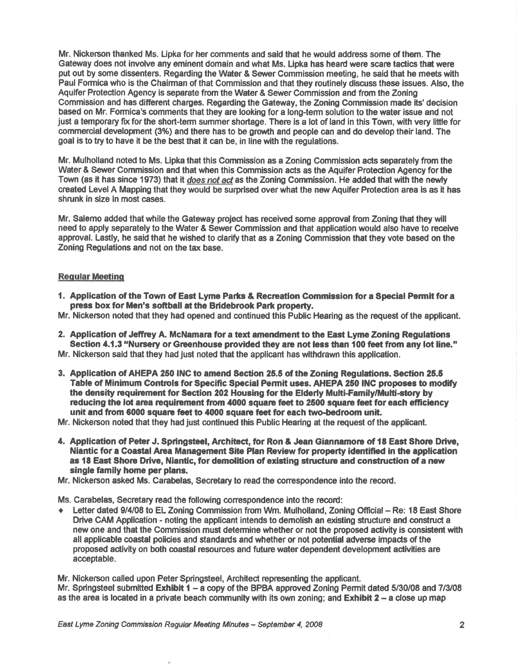Mr. Nickerson thanked Ms. Lipka for her comments and said that he would address some of them. The Gateway does not involve any eminent domain and what Ms. Lipka has heard were scare tactics that were put out by some dissenters. Regarding the Water & Sewer Commission meeting, he said that he meets with Paul Formica who is the Chairman of that Commission and that they routinely discuss these issues. Also, the Aquifer Protection Agency is separate from the Water & Sewer Commission and from the Zoning Commission and has different charges. Regarding the Gateway, the Zoning Gommission made its'decision based on Mr. Formica's comments that they are looking for a long-term solulion to the water issue and not just a temporary fix for the short-term summer shortage. There is a lot of land in this Town, with very little for commercial developnent (3%) and there has to be grovth and people can and do develop their land. The goal is to try to have it be the best that it can be, in line with the regulations.

Mr. Mulholland noted to Ms. Lipka that this Commission as a Zoning Commission acts separately fiom the Water & Sewer Commission and that when this Commission acts as the Aquifer Protection Agency for the Town (as it has since 1973) that it does not act as the Zoning Commission. He added that with the newly created Level A Mapping that they would be surprised over what the new Aquifer Protedion area is as it has shrunk in size in most cases.

Mr. Salemo added that while the Gateway projed has received some approval from Zoning that they will need to apply separately to the Water & Sewer Commission and that application would also have to receive approval. Lastly, he said that he wished to clariry that as a Zoning Commission that they vote based on the Zoning Regulations and not on the tax base.

## **Reqular Meeting**

- 1. Application of the Town of East Lyme Parks & Recreation Commission for a Special Permit for a press box for Men's softball at the Bridebrook Park property.
- Mr. Nickerson noted that they had opened and continued this Public Hearing as the request of the applicant.
- 2. Application of Jeffrey A. McNamara for a text amendment to the East Lyme Zoning Regulations Section 4.1.3 "Nursery or Greenhouse provided they are not less than 100 feet from any lot line." Mr. Nickerson said that they had just noted that the applicant has withdrawn this application.
- 3. Application of AHEPA 250 INC to amend Section 25.5 of the Zoning Regulations. Section 25.5 Table of Minimum Controls for Speciftc Special Permit uses. AHEPA 250 INC proposes to modify the density requirement for Section 202 Housing for the Elderly Multi-Family/Multi-story by reducing the lot area requirement from 4000 square feet to 2500 square feet for each efficiency unit and from 6000 square feet to 4000 square feet for each two-bedroom unit.
- Mr. Nickerson noted that they had just continued this Public Hearing at the request of the applicant.
- 4. Application of Peter J. Springsteel, Architect, for Ron & Jean Giannamore of 18 East Shore Drive, Niantic for a Coastal Arca Management Site Plan Review for prcperty identified in tte application as 18 East Shore Drive, Niantic, for demolition of existing structure and construction of a new single family home per plans.
- Mr. Nickerson asked Ms. Carabelas, Secretary to read the correspondence into the record.

Ms. Garabelas, Secretary read the following conespondence into the recod:

Letter dated 9/4/08 to EL Zoning Commission from Wm. Mulholland, Zoning Official - Re: 18 East Shore Drive CAM Application - noting the applicant intends to demolish an existing structure and construct a new one and that the Commission must determine whether or not the proposed activity is consistent with all applicable coastal policies and standards and whether or not potential adverse impacts of the proposed acilivity on both coastal resources and future water dependent development ac{ivities are acceptable.

Mr. Nickerson called upon Peter Springsteel, Architect representing the applicant. Mr. Springsteel submitted Exhibit 1 – a copy of the BPBA approved Zoning Permit dated 5/30/08 and 7/3/08 as the area is located in a private beach community with its own zoning; and **Exhibit 2** – a close up map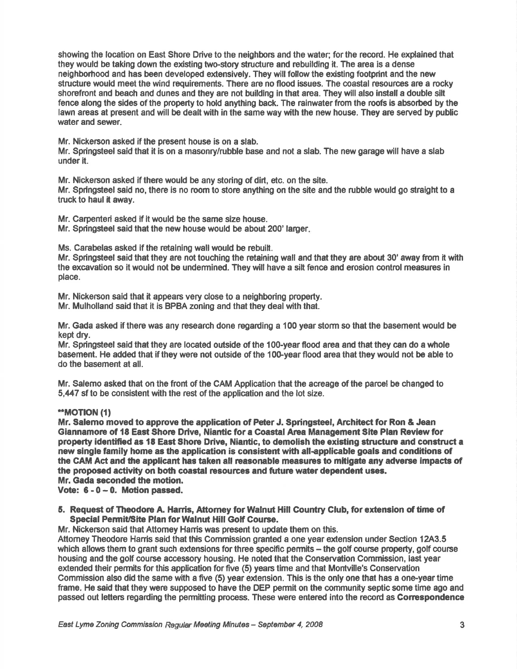showing the location on East Shore Drive to the neighbors and the water; for the record. He explained that they would be taking down the existing two-story structure and rebuilding it. The area is a dense neighboriood and has been developed extensively. They will follow the existing footprint and the new structure would meet the wind requirements. There are no flood issues. The coastal resources are a rocky shorefront and beach and dunes and they are not building in that area. They will also install a double silt fence along the sides of the property to hold anything back. The rainwaterfrom the roofs is absorbed by the lawn areas at present and will be dealt with in the same way with the new house. They are served by public water and sewer.

Mr. Nickenson asked if the present house is on a slab.

Mr. Springsteel said that it is on a masonry/rubble base and not a slab. The new garage will have a slab under it.

Mr. Nickerson asked if there would be any storing of dirt, etc. on the site.

Mr. Springsteel said no, there is no room to store anything on the site and the rubble would go straight to a truck to haul it away.

Mr. Carpenteri asked if it would be the same size house.

Mr. Springsteel said that the new house would be about 200' larger

Ms. Carabelas asked if the retaining wallwould be rebuilt.

Mr. Springsteel said that they are not touching the retaining wall and that they are about 30' away from it with the excavetion so it would not be undermined. They will have a silt fence and erosion control measures in place.

Mr. Nickerson said that it appears very close to a neighboring property.

Mr. Mulholland said that it is BPBA zoning and that they deal with that.

Mr. Gada asked if there was any research done regarding a 100 year storm so that the basement would be kept dry.

Mr. Springsteel said that they are located outside of the 100-year flood area and that they can do a whole basement. He added that if they were not outside of the 100-year flood area that they would not be able to do the basement at all.

Mr. Salemo asked that on the front of the CAM Application that the acreage of the parcel be changed to 5,447 sf to be consistent with the rest of the application and the lot size.

## \*\*MOTION (1)

Mr. Salemo moved to approve the application of Peter J. Springsteel, Architect for Ron & Jean Giannamore of 18 East Shore Drive, Niantic for a Coastal Area Management Site Plan Review for property identified as 18 East Shore Drive, Niantic, to demolish the existing structure and construct a new single family home as the application is consistent with all-applicable goals and conditions of the CAM Act and the applicant has taken all reasonable measures to mitigate any adverse impacts of the proposed activity on both coastal resources and future water dependent uses. Mr. Gada seconded the motion.

Vote: 6 - 0 - 0. Motion passed.

5. Request of Theodore A. Hanis, Attomey for Walnut Hill Country Club, for extension of time of Special Permit/Site Plan for Walnut Hill Golf Course.

Mr. Nickerson said that Attomey Harris was present to update them on this.

Attomey Theodore Hanis said that this Commission granted a one year extension under Secfion 1243.5 which allows them to grant such extensions for three specific permits - the golf course property, golf course housing and the golf course accessory housing. He noted that the Conservetion Commission, last year extended their permits for this application for five (5) years time and that Montville's Conservation Commission also did the same with a five (5) year extension. This is the only one that has a one-year time frame. He said that they were supposed to have the DEP permit on the community septic some time ago and passed out letters regarding the permitting process. These were entered into the record as Correspondence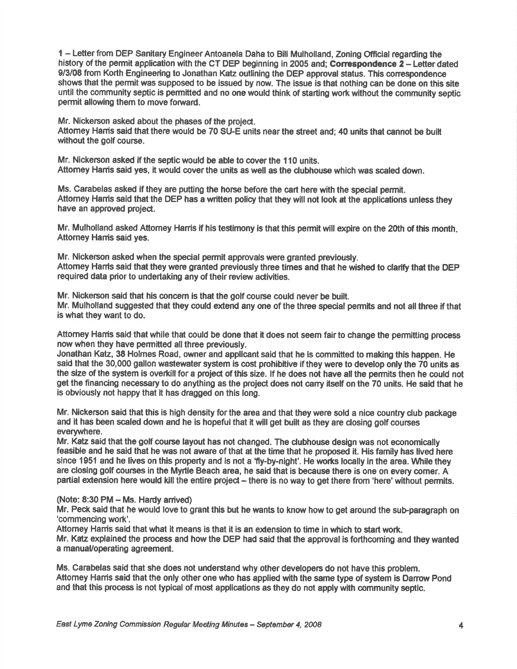1 - Letter from DEP Sanitary Engineer Antoanela Daha to Bill Mulholland, Zoning Official regarding the history of the permit application with the CT DEP beginning in 2005 and; Correspondence  $2 -$  Letter dated 9/3/08 from Korth Engineering to Jonathan Katz outlining the DEP approval status. This correspondence shows that the permit was supposed to be issued by now. The issue is that nothing can be done on this site until the community septic is permitted and no one would think of starting work without the community septic permit allowing them to move forward.

Mr. Nickerson asked about the phases of the project.

Attomey Hanis said that there would be 70 SU-E units near the street and; 40 units that cannot be built without the golf course.

Mr. Nickerson asked if the septic would be able to cover the 110 units. Attomey Harris said yes, it would cover the units as well as the clubhouse which was scaled down.

Ms. Carabelas asked if they are putting the horse before the cart here with the special permit. Attorney Harris said that the DEP has a written policy that they will not look at the applications unless they have an approved projed.

Mr. Mulholland asked Attomey Harris if his testimony is that this permit will expire on the 20th of this month. Attorney Harris said yes.

Mr. Nickerson asked when the special permit approvals were granted previously. Attomey Hanis said that they were granted previously three times and that he wished to clarify that the DEP required data prior to undertaking any of their review adivities.

Mr. Nickerson said that his concem is that the golf course could never be built. Mr. Mulholland suggested that they could extend any one of the three special permits and not allthree if that is what they want to do.

Attomey Hamis said that while that could be done that it does not seem fair to change the permitting process now when they have permitted all three previously.

Jonathan Katz, 38 Holmes Road, owner and appllcant said that he is committed to making this happen. He said that the 30,000 gallon wastewater system is cost prohibitive if they were to develop only the 70 units as the size of the system is overkill for a project of this size. If he does not have all the permits then he could not get the financing necessary to do anything as the project does not carry itself on the 70 units. He said that he is obviously not happy that it has dragged on this long.

Mr. Nickerson said that this is high density forthe area and that they were sold a nice country club package and it has been scaled down and he is hopeful that it will get buih as they are closing golf courses everywhere.

Mr. Katz said that the golf course layout has not changed. The clubhouse design wes not economically feasible and he said that he was not aware of that at the time that he proposed it. His family has lived here since 1951 and he lives on this property and is not a 'fly-by-night'. He works locally in the area. While they are closing golf counses in the Myrtle Beach area, he said that is because there is one on every comer. A partial extension here would kill the entire project - there is no way to get there from 'here' without permits.

#### $(Note: 8:30 PM – Ms. Hardy arrived)$

Mr. Peck said that he would love to grant this but he wants to know how to get around the sub-paragraph on 'commencing work'.

Attorney Hamis said that what it means is that it is an extension to time in which to start work. Mr. Katz explained the process and how the DEP had said that the approval is forthcoming and they wanted a manual/operating agreement.

Ms. Carabelas said that she does not understand why other developers do not have this problem. Attomey Hanis said that the only other one who has applied wtth the same type of system is Danow Pond and that this process is not typical of most applications as they do not apply with community septic.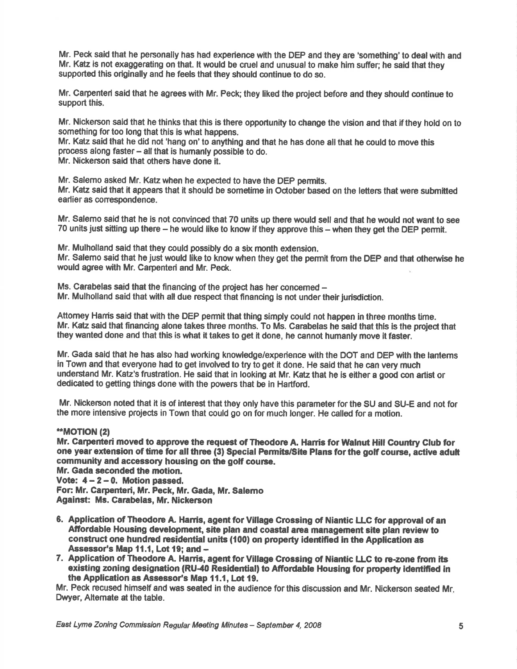Mr. Peck said that he personally has had experience with the DEP and they are 'something'to dealwith and Mr. Katz is not exaggerating on that. lt would be cruel and unusual to make him suffer; he said that they supported this originally and he feels that they should continue to do so.

Mr. Carpenteri said that he agrees with Mr. Peck; they liked the project before and they should continue to support this.

Mr. Nickerson said that he thinks that this is there opportunity to change the vision and that if they hold on to something for too long that this is what happens.

Mr. Katz said that he did not 'hang on' to anything and that he has done all that he could to move this process along faster - all that is humanly possible to do.

Mr. Nickerson said that others have done it.

Mr. Salemo asked Mr. Katz when he expected to have the DEP permits.

Mr. Katz said that it appears that it should be sometime in October based on the letters that were submitted earlier as corespondence.

Mr. Salemo said that he is not convinced that 70 units up there would sell and that he would not want to see 70 units just sitting up there - he would like to know if they approve this - when they get the DEP permit.

Mr. Mulholland said that they could possibly do a six month extension.

Mr. Salemo said that he just would like to know when they get the permit from the DEP and that otherwise he would agree with Mr. Carpenteri and Mr. Peck.

Ms. Carabelas said that the financing of the project has her concerned -Mr. Mulholland said that with all due respect that financing is not under their jurisdiction,

Attomey Hanis said that with the DEP permit that thing simply could not happen in three months time. Mr. Katz said that financing alone takes three months. To Ms. Carabelas he said that this is the projec{ that they wanted done and that this is what it takes to get it done, he cannot humanly move it faster.

Mr. Gada said that he has also had working knowledge/experience with the DOT and DEP with the lantems in Town and that everyone had to get involved to try to get it done. He said that he can very much undersland Mr. Katz's frustration. He said that in looking at Mr. Katz that he is either a good con artist or dedicated to getting things done with the powers that be in Hartfod.

Mr. Nickerson noted that it is of interest that they only have this parameter for the SU and SU-E and not for the more intensive projects in Town that could go on for much longer. He called for a motion.

# \*\*MOT|ON (2)

Mr. Carpenteri moved to approve the request of Theodore A. Harris for Walnut Hill Country Club for one year extension of time for all three (3) Special Permits/Site Plans for the golf course, active adult community and accessory housing on the golf course.

Mr. Gada seconded the motion. Vote:  $4 - 2 - 0$ . Motion passed. For: Mr. Carpenteri, Mr. Peck, Mr. Gada, Mr. Salemo

Against: Ms. Carabelas, Mr. Nickerson

- 6. Application of Theodore A. Harris, agent for Village Grossing of Niantic LLC for approval of an Affordable Housing development, site plan and coastal area management site plan review to construct one hundred residential units (100) on property identified in the Application as Assessor's Map 11.1, Lot 19; and -
- 7. Application of Theodore A. Harris, agent for Village Crossing of Niantic LLC to re-zone from its existing zoning designation (RU-40 Residential) to Affordable Housing for property identified in the Application as Assessor's Map 11.1, Lot 19.

Mr. Peck recused himself and was seated in the audience for this discussion and Mr. Nickerson seated Mr. Dwyer, Alternate at the table.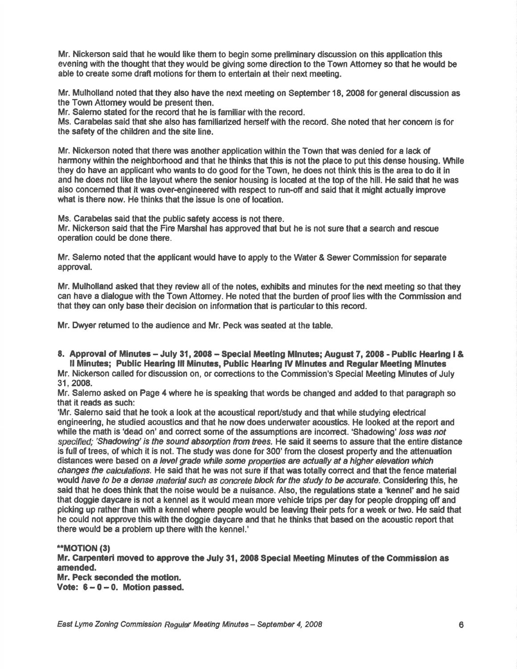Mr. Nickerson said that he would like them to begin some preliminary discussion on this applicatlon thls evening with the thought that they would be giving some direction to the Town Attomey so that he would be able to create some draft motions for them to entertain at their next meeting.

Mr. Mulholland noted that they also have the next meeting on September 18, 2008 forgeneral discussion as the Town Attomey would be present then.

Mr. Salemo stated for the record that he is familiar with the record.

Ms. Carabelas said that she also has familiarized hersetf with the record. She noted that her concem is for the safety of the children and the site line.

Mr. Nickerson noted that there was another application within the Town that was denied for a lack of harmony wtthin the neighborhood and that he thinks that this is not the place to put this dense housing. Whlle they do have an applicant who wants to do good for the Town, he does not think this is the area to do it in and he does not like the layout where the senior housing is located at the top of the hill. He said that he was also concemed that it was over-engineered with respect to run-off and said that it might actually improve what is there now. He thinks that the issue is one of location.

Ms. Carabelas said that the public safety access is not there.

Mr. Nickerson said that the Fire Marshal has approved that but he is not sure that a search and rescue operation could be done there.

Mr. Salemo noted that the applicant would have to apply to the Water & Sewer Commission for separate approval.

Mr. Mulholland asked that they review all of the notes, exhibits and minutes for the next meeting so that they can have a dialogue with the Town Attomey. He noted that the burden of proof lies with the Commission end that they can only base their decision on information that is partioular to this record.

Mr. Dwyer returned to the audience and Mr. Peck was seated at the table.

8. Approval of Minutes - July 31, 2008 - Special Meeting Minutes; August 7, 2008 - Public Hearing I & ll Minutes; Public Hearing lll Minutes, Public Hearing lV Minutes and Regular Meeting Minutes

Mr. Nickerson called for discussion on, or corrections to the Commission's Special Meeting Minutes of July 31, 2008.

Mr. Salemo asked on Page 4 where he is speaking that words be changed and added to that paragraph so that it reads as such:

'Mr. Salemo said that he took a look at the acoustical report/study and that while studying electrical engineering, he studied acoustics and that he now does underwater acoustics. He looked at the report and while the math is 'dead on' and correct some of the assumptions are incorrect. 'Shadowing' loss was not specified; 'Shadowing' is the sound absorption from trees. He said it seems to assure that the entire distance is full of trees, of which it is not. The study was done for 300' from the closest property and the attenuation distances were based on a level grade while some properties are actually at a higher elevation which changes the calculations. He said that he was not sure if that was totally correct and that the fence material would have to be a dense material such as concrete block for the study to be accurate. Considering this, he said that he does think that the noise would be a nuisance. Also, the regulations state e 'kennel' and he said that doggie daycare is not a kennel as it would mean more vehicle trips per day for people dropping off and picking up rather than with a kennel where people would be leaving their pets for a week or two. He said that he could not approve this with the doggie dayoare and that he thinks that based on the acoustic report that there would be a problem up there with the kennel.'

## \*\*MOTION (3)

Mr. Garpenteri moved to approve the July 31, 2008 Special Meeting Minutee of the Commission as amended.

Mr. Peck seconded the motion. Vote:  $6 - 0 - 0$ . Motion passed.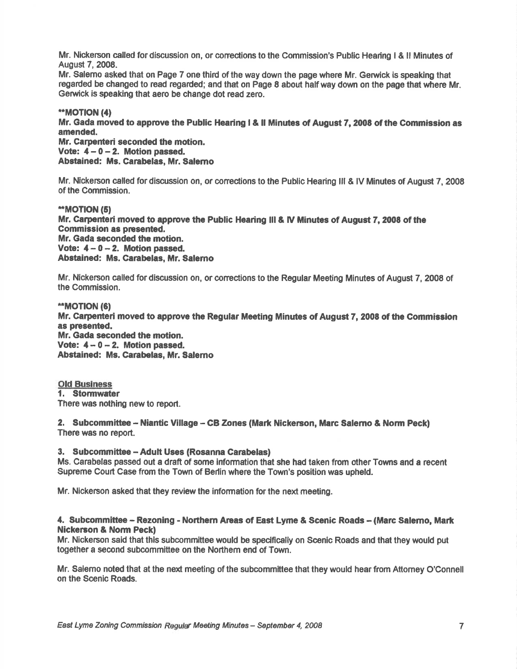Mr. Nickerson called for discussion on, or corrections to the Commission's Public Hearing I & II Minutes of August 7,2008.

Mr. Salemo asked that on Page 7 one third of the way down the page where Mr. Gerwick is speaking that regarded be changed to read regarded; and that on Page 8 about half way down on the page that where Mr. Gerwick is speaking that aero be change dot read zero.

## \*MOT|ON (4)

Mr. Gada moved to approve the Public Hearing I & ll Minutes of August 7,2008 of the Commission as amended.

Mr. Garpenteri seconded the motion. Vote:  $4-0-2$ . Motion passed, Abstained: Ms. Carabelas, Mr. Salerno

Mr. Nickerson called for discussion on, or corrections to the Public Hearing III & IV Minutes of August 7, 2008 of the Commission.

## \*MOT|ON (51 Mr. Carpenteri moved to approve the Public Hearing III & IV Minutes of August 7, 2008 of the Commission as presented, Mr. Gada seconded the motion. Vote:  $4 - 0 - 2$ . Motion passed. Abstained: Ms. Garabelas, Mr. Salemo

Mr. Nickerson called for discussion on, or conections to the Regular Meeting Minutes of August 7, 2008 of the Commission.

\*\*MOTION (6) Mr. Carpenteri moved to approve the Regular Meeting Minutes of August 7, 2008 of the Commission as presented. Mr. Gada seconded the motion. Vote:  $4 - 0 - 2$ . Motion passed. Abstained: Ms. Carabelas, Mr. Salemo

Old Business 1. Stormwater There was nothing new to report.

2. Subcommittee -- Niantic Village -- CB Zones (Mark Nickerson, Marc Salerno & Norm Peck) There was no report.

## 3. Subcommittee - Adult Uses (Rosanna Garabelas)

Ms. Carabelas passed out a draft of some information that she had taken from other Towns and a recent Supreme Court Case from the Town of Berlin where the Town's position was upheld.

Mr. Nickerson asked that they review the information for the next meeting.

## 4. Subcommittee - Rezoning - Northern Areas of East Lyme & Scenic Roads - (Marc Salemo, Mark Nickerson & Norm Peck)

Mr. Nickerson said that this subcommittee would be specifically on Scenic Roads and that they would put together a second subcommittee on the Northem end of Town.

Mr. Salemo noted that at the next meeting of the subcommittee that they would hear from Attomey O'Connell on the Scenic Roads.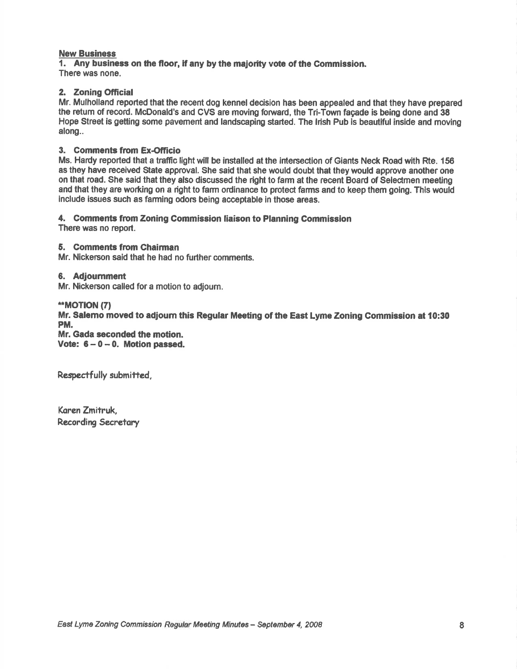#### New Business

1. Any business on the floor, if any by the majority vote of the Commission. There was none.

## 2. Zoning Official

Mr. Mulholland reported that the recent dog kennel decision has been appealed and that they have prepared the retum of record. McDonald's and CVS are moving fonrard, the Tri-Town fagade is being done and 38 Hope Street is getting some pavement and landscaping started. The Irish Pub is beautiful inside and moving along..

## 3. Comments from Ex-Officio

Ms. Hardy reported that a traffic light will be installed at the intersection of Giants Neck Road with Rte. 156 as they have received State approval. She said that she would doubt that they would approve another one on that road. She said that they also discussed the right to farm at the recent Board of Selectmen meeting and that they are working on a right to farm ordinance to protect farms and to keep them going. This would include issues such as farming odors being acceptable in those areas.

#### 4. Gomments from Zoning Gommission liaison to Planning Commission

There was no report.

# 5. Comments from Chairman

Mr. Nickerson said that he had no further comments.

#### 6. Adjournment

Mr. Nickerson called for a motion to adjourn.

#### \*MOT|ON (7)

Mr. Salemo moved to adioum this Regular Meeting of the East Lyme Zoning Commission at 10:30 PM.

Mr. Gada seconded the motion. Vote:  $6 - 0 - 0$ . Motion passed.

Respectfully submitted,

Koren Zmitruk, Recording Secretory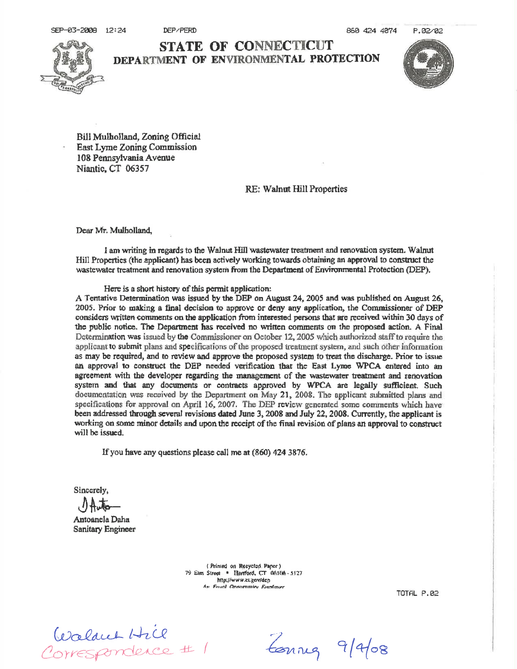DEP/PERD



**STATE OF CONNECTICUT** DEPARTMENT OF ENVIRONMENTAL PROTECTION



P.02/02

Bill Mulholland, Zoning Official East Lyme Zoning Commission 108 Pennsylvania Avenue Niantic, CT 06357

RE: Walnut Hill Properties

Dear Mr. Mulholland,

I am writing in regards to the Walnut Hill wastewater treatment and renovation system. Walnut Hill Properties (the applicant) has been actively working towards obtaining an approval to construct the wastewater treatment and renovation system from the Department of Environmental Protection (DEP).

Here is a short history of this permit application:

A Tentative Determination was issued by the DEP on August 24, 2005 and was published on August 26, 2005. Prior to making a final decision to approve or deny any application, the Commissioner of DEP considers written comments on the application from interested persons that are received within 30 days of the public notice. The Department has received no written comments on the proposed action. A Final Determination was issued by the Commissioner on October 12, 2005 which authorized staff to require the applicant to submit plans and specifications of the proposed treatment system, and such other information as may be required, and to review and approve the proposed system to treat the discharge. Prior to issue an approval to construct the DEP needed verification that the East Lyme WPCA entered into an agreement with the developer regarding the management of the wastewater treatment and renovation system and that any documents or contracts approved by WPCA are legally sufficient. Such documentation was received by the Department on May 21, 2008. The applicant submitted plans and specifications for approval on April 16, 2007. The DEP review generated some comments which have been addressed through several revisions dated June 3, 2008 and July 22, 2008. Currently, the applicant is working on some minor details and upon the receipt of the final revision of plans an approval to construct will be issued.

If you have any questions please call me at (860) 424 3876.

Sincerely.

Antoanela Daha **Sanitary Engineer** 

> (Printed on Recycled Paper) 79 Eim Street . Harrford, CT 061116 - 5127 http://www.ct.gov/dcp An Fourt Ormaranten Fourtever

**TOTAL P.02** 

Coalant Hil<br>2011ESPONCACE # 1

Lonnes 9/4/08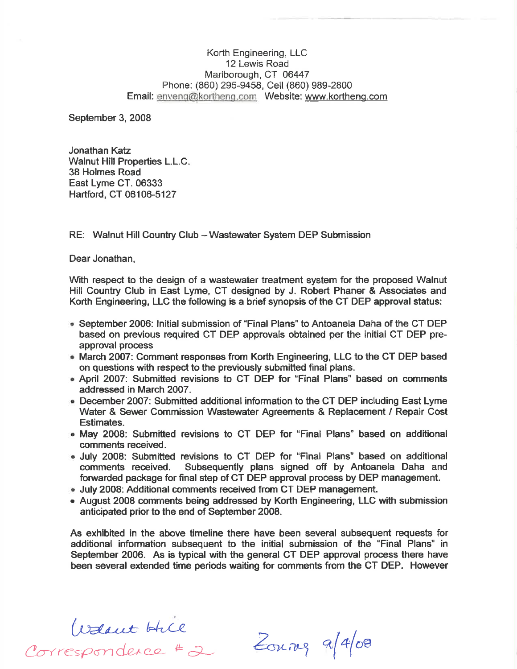Korth Engineering, LLC 12 Lewis Road Marlborough, CT 06447 Phone: (860) 295-9458, Cell (860) 989-2800 Email: enveno@kortheng.com Website: www.korthens.com

September 3, 2008

Jonathan Katz Walnut Hill Properties L.L.C. 38 Holmes Road East Lyme CT. 06333 Hartford, CT 06106-5127

RE: Walnut Hill Country Club - Wastewater System DEP Submission

Dear Jonathan,

With respect to the design of a wastewater treatment system for the proposed Walnut Hill Country Glub in East Lyme, CT designed by J. Robert Phaner & Associates and Korth Engineering, LLC the following is a brief synopsis of the CT DEP approval status:

- September 2006: Initial submission of "Final Plans" to Antoanela Daha of the CT DEP based on previous required CT DEP approvals obtained per the initial CT DEP preapproval process
- . March 2OO7: Comment responses from Korth Engineering, LLC to the CT DEP based on questions with respect to the previously submitted final plans.
- April 2007: Submitted revisions to CT DEP for "Final Plans" based on comments addressed in March 2OO7.
- December 2007: Submitted additional information to the CT DEP including East Lyme Water & Sewer Commission Wastewater Agreements & Replacement / Repair Cost Estimates.
- May 2008: Submitted revisions to CT DEP for "Final Plans" based on additional comments received.
- . July 2008: Submitted revisions to CT DEP for "Final Plans" based on additional comments received. Subsequently plans signed off by Antoanela Daha and forwarded package for final step of CT DEP approval process by DEP management.
- . July 2008: Additional comments received from CT DEP management.
- . August 2008 comments being addressed by Korth Engineering, LLC with submission anticipated prior to the end of September 2008.

As exhibited in the above timeline there have been several subsequent requests for additional information subsequent to the initial submission of the "Final Plans" in September 2006. As is typical with the general CT DEP approval process there have been several extended time periods waiting for comments from the CT DEP. However

Walant Hill<br>Correspondence # 2 Zonnez 9/4/08